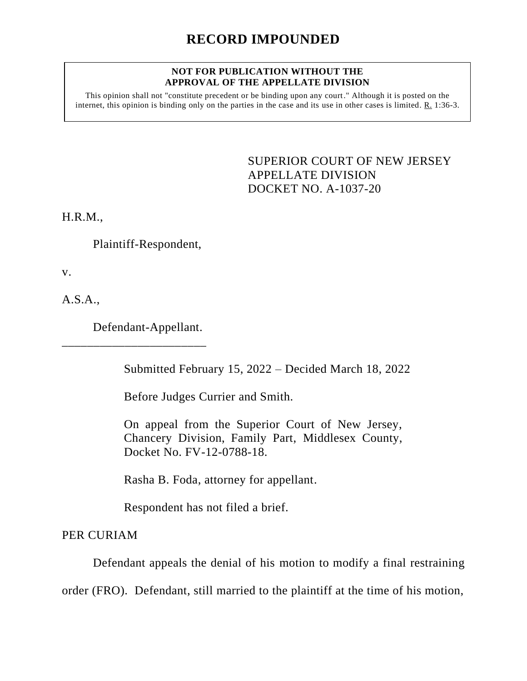## **NOT FOR PUBLICATION WITHOUT THE APPROVAL OF THE APPELLATE DIVISION**

This opinion shall not "constitute precedent or be binding upon any court." Although it is posted on the internet, this opinion is binding only on the parties in the case and its use in other cases is limited. R. 1:36-3.

> SUPERIOR COURT OF NEW JERSEY APPELLATE DIVISION DOCKET NO. A-1037-20

H.R.M.,

Plaintiff-Respondent,

v.

A.S.A.,

Defendant-Appellant.

\_\_\_\_\_\_\_\_\_\_\_\_\_\_\_\_\_\_\_\_\_\_\_

Submitted February 15, 2022 – Decided March 18, 2022

Before Judges Currier and Smith.

On appeal from the Superior Court of New Jersey, Chancery Division, Family Part, Middlesex County, Docket No. FV-12-0788-18.

Rasha B. Foda, attorney for appellant.

Respondent has not filed a brief.

PER CURIAM

Defendant appeals the denial of his motion to modify a final restraining

order (FRO). Defendant, still married to the plaintiff at the time of his motion,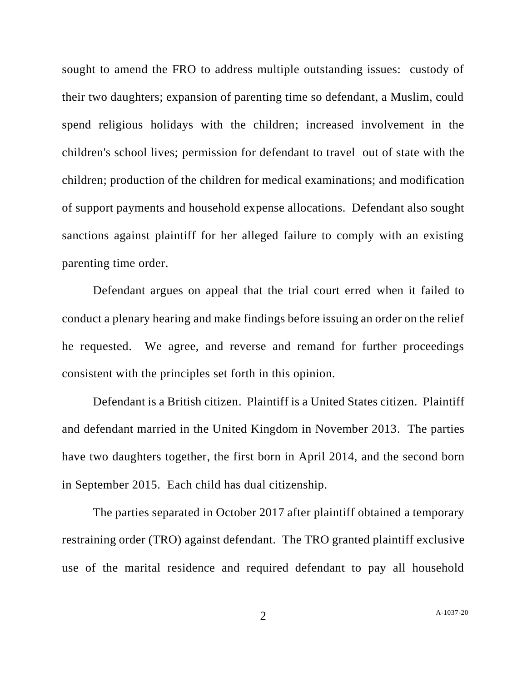sought to amend the FRO to address multiple outstanding issues: custody of their two daughters; expansion of parenting time so defendant, a Muslim, could spend religious holidays with the children; increased involvement in the children's school lives; permission for defendant to travel out of state with the children; production of the children for medical examinations; and modification of support payments and household expense allocations. Defendant also sought sanctions against plaintiff for her alleged failure to comply with an existing parenting time order.

Defendant argues on appeal that the trial court erred when it failed to conduct a plenary hearing and make findings before issuing an order on the relief he requested. We agree, and reverse and remand for further proceedings consistent with the principles set forth in this opinion.

Defendant is a British citizen. Plaintiff is a United States citizen. Plaintiff and defendant married in the United Kingdom in November 2013. The parties have two daughters together, the first born in April 2014, and the second born in September 2015. Each child has dual citizenship.

The parties separated in October 2017 after plaintiff obtained a temporary restraining order (TRO) against defendant. The TRO granted plaintiff exclusive use of the marital residence and required defendant to pay all household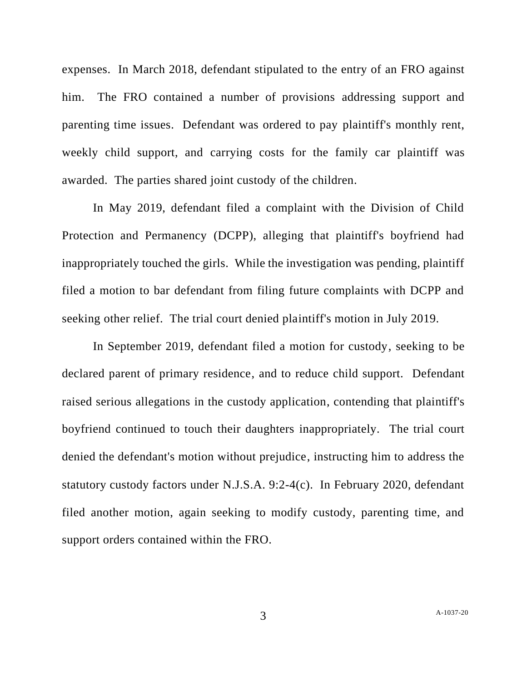expenses. In March 2018, defendant stipulated to the entry of an FRO against him. The FRO contained a number of provisions addressing support and parenting time issues. Defendant was ordered to pay plaintiff's monthly rent, weekly child support, and carrying costs for the family car plaintiff was awarded. The parties shared joint custody of the children.

In May 2019, defendant filed a complaint with the Division of Child Protection and Permanency (DCPP), alleging that plaintiff's boyfriend had inappropriately touched the girls. While the investigation was pending, plaintiff filed a motion to bar defendant from filing future complaints with DCPP and seeking other relief. The trial court denied plaintiff's motion in July 2019.

In September 2019, defendant filed a motion for custody, seeking to be declared parent of primary residence, and to reduce child support. Defendant raised serious allegations in the custody application, contending that plaintiff's boyfriend continued to touch their daughters inappropriately. The trial court denied the defendant's motion without prejudice, instructing him to address the statutory custody factors under N.J.S.A. 9:2-4(c). In February 2020, defendant filed another motion, again seeking to modify custody, parenting time, and support orders contained within the FRO.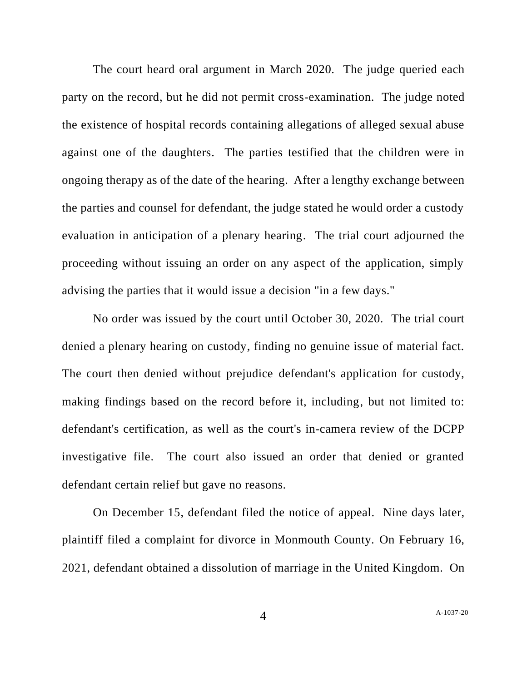The court heard oral argument in March 2020. The judge queried each party on the record, but he did not permit cross-examination. The judge noted the existence of hospital records containing allegations of alleged sexual abuse against one of the daughters. The parties testified that the children were in ongoing therapy as of the date of the hearing. After a lengthy exchange between the parties and counsel for defendant, the judge stated he would order a custody evaluation in anticipation of a plenary hearing. The trial court adjourned the proceeding without issuing an order on any aspect of the application, simply advising the parties that it would issue a decision "in a few days."

No order was issued by the court until October 30, 2020. The trial court denied a plenary hearing on custody, finding no genuine issue of material fact. The court then denied without prejudice defendant's application for custody, making findings based on the record before it, including, but not limited to: defendant's certification, as well as the court's in-camera review of the DCPP investigative file. The court also issued an order that denied or granted defendant certain relief but gave no reasons.

On December 15, defendant filed the notice of appeal. Nine days later, plaintiff filed a complaint for divorce in Monmouth County. On February 16, 2021, defendant obtained a dissolution of marriage in the United Kingdom. On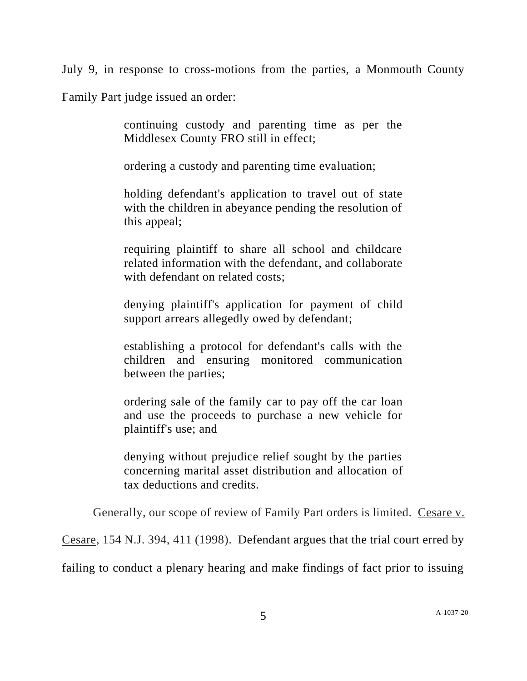July 9, in response to cross-motions from the parties, a Monmouth County

Family Part judge issued an order:

continuing custody and parenting time as per the Middlesex County FRO still in effect;

ordering a custody and parenting time evaluation;

holding defendant's application to travel out of state with the children in abeyance pending the resolution of this appeal;

requiring plaintiff to share all school and childcare related information with the defendant, and collaborate with defendant on related costs:

denying plaintiff's application for payment of child support arrears allegedly owed by defendant;

establishing a protocol for defendant's calls with the children and ensuring monitored communication between the parties;

ordering sale of the family car to pay off the car loan and use the proceeds to purchase a new vehicle for plaintiff's use; and

denying without prejudice relief sought by the parties concerning marital asset distribution and allocation of tax deductions and credits.

Generally, our scope of review of Family Part orders is limited. Cesare v.

Cesare, 154 N.J. 394, 411 (1998). Defendant argues that the trial court erred by

failing to conduct a plenary hearing and make findings of fact prior to issuing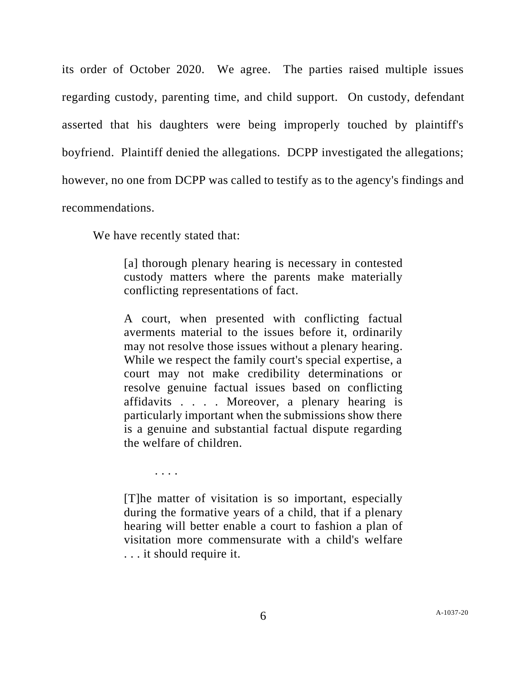its order of October 2020. We agree. The parties raised multiple issues regarding custody, parenting time, and child support. On custody, defendant asserted that his daughters were being improperly touched by plaintiff's boyfriend. Plaintiff denied the allegations. DCPP investigated the allegations; however, no one from DCPP was called to testify as to the agency's findings and recommendations.

We have recently stated that:

[a] thorough plenary hearing is necessary in contested custody matters where the parents make materially conflicting representations of fact.

A court, when presented with conflicting factual averments material to the issues before it, ordinarily may not resolve those issues without a plenary hearing. While we respect the family court's special expertise, a court may not make credibility determinations or resolve genuine factual issues based on conflicting affidavits . . . . Moreover, a plenary hearing is particularly important when the submissions show there is a genuine and substantial factual dispute regarding the welfare of children.

. . . .

[T]he matter of visitation is so important, especially during the formative years of a child, that if a plenary hearing will better enable a court to fashion a plan of visitation more commensurate with a child's welfare . . . it should require it.